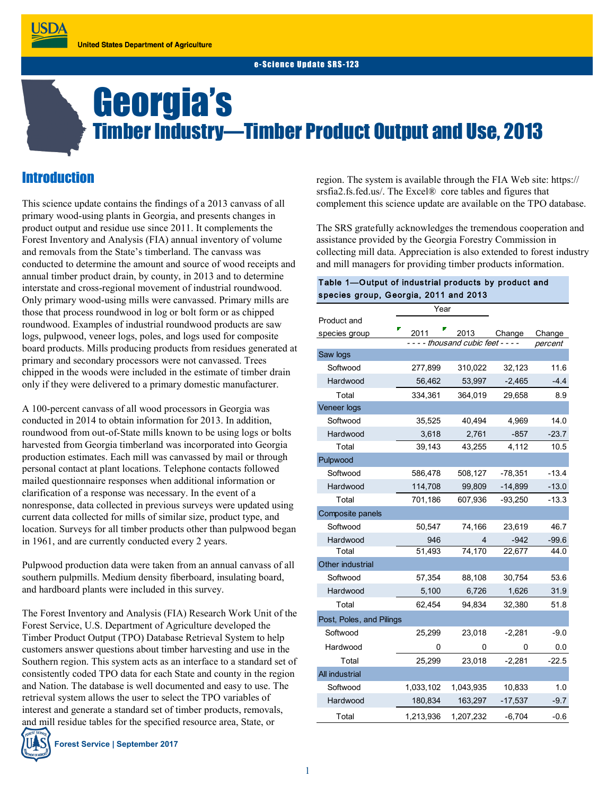# Georgia's Timber Industry—Timber Product Output and Use, 2013

# **Introduction**

**USDA** 

This science update contains the findings of a 2013 canvass of all primary wood-using plants in Georgia, and presents changes in product output and residue use since 2011. It complements the Forest Inventory and Analysis (FIA) annual inventory of volume and removals from the State's timberland. The canvass was conducted to determine the amount and source of wood receipts and annual timber product drain, by county, in 2013 and to determine interstate and cross-regional movement of industrial roundwood. Only primary wood-using mills were canvassed. Primary mills are those that process roundwood in log or bolt form or as chipped roundwood. Examples of industrial roundwood products are saw logs, pulpwood, veneer logs, poles, and logs used for composite board products. Mills producing products from residues generated at primary and secondary processors were not canvassed. Trees chipped in the woods were included in the estimate of timber drain only if they were delivered to a primary domestic manufacturer.

A 100-percent canvass of all wood processors in Georgia was conducted in 2014 to obtain information for 2013. In addition, roundwood from out-of-State mills known to be using logs or bolts harvested from Georgia timberland was incorporated into Georgia production estimates. Each mill was canvassed by mail or through personal contact at plant locations. Telephone contacts followed mailed questionnaire responses when additional information or clarification of a response was necessary. In the event of a nonresponse, data collected in previous surveys were updated using current data collected for mills of similar size, product type, and location. Surveys for all timber products other than pulpwood began in 1961, and are currently conducted every 2 years.

Pulpwood production data were taken from an annual canvass of all southern pulpmills. Medium density fiberboard, insulating board, and hardboard plants were included in this survey.

The Forest Inventory and Analysis (FIA) Research Work Unit of the Forest Service, U.S. Department of Agriculture developed the Timber Product Output (TPO) Database Retrieval System to help customers answer questions about timber harvesting and use in the Southern region. This system acts as an interface to a standard set of consistently coded TPO data for each State and county in the region and Nation. The database is well documented and easy to use. The retrieval system allows the user to select the TPO variables of interest and generate a standard set of timber products, removals, and mill residue tables for the specified resource area, State, or

region. The system is available through the FIA Web site: https:// srsfia2.fs.fed.us/. The Excel® core tables and figures that complement this science update are available on the TPO database.

The SRS gratefully acknowledges the tremendous cooperation and assistance provided by the Georgia Forestry Commission in collecting mill data. Appreciation is also extended to forest industry and mill managers for providing timber products information.

### Table 1—Output of industrial products by product and species group, Georgia, 2011 and 2013

|                          | Year      |           |           |         |
|--------------------------|-----------|-----------|-----------|---------|
| Product and              |           |           |           |         |
| species group            | 2011      | 2013      | Change    | Change  |
| -- thousand cubic feet - |           |           |           | percent |
| Saw logs                 |           |           |           |         |
| Softwood                 | 277,899   | 310,022   | 32,123    | 11.6    |
| Hardwood                 | 56,462    | 53,997    | $-2,465$  | $-4.4$  |
| Total                    | 334,361   | 364,019   | 29,658    | 8.9     |
| Veneer logs              |           |           |           |         |
| Softwood                 | 35,525    | 40,494    | 4,969     | 14.0    |
| Hardwood                 | 3,618     | 2,761     | $-857$    | $-23.7$ |
| Total                    | 39,143    | 43,255    | 4,112     | 10.5    |
| Pulpwood                 |           |           |           |         |
| Softwood                 | 586,478   | 508,127   | $-78,351$ | $-13.4$ |
| Hardwood                 | 114,708   | 99,809    | $-14,899$ | $-13.0$ |
| Total                    | 701,186   | 607,936   | $-93,250$ | $-13.3$ |
| Composite panels         |           |           |           |         |
| Softwood                 | 50,547    | 74,166    | 23,619    | 46.7    |
| Hardwood                 | 946       | 4         | $-942$    | $-99.6$ |
| Total                    | 51,493    | 74,170    | 22,677    | 44.0    |
| Other industrial         |           |           |           |         |
| Softwood                 | 57,354    | 88,108    | 30,754    | 53.6    |
| Hardwood                 | 5,100     | 6,726     | 1,626     | 31.9    |
| Total                    | 62,454    | 94,834    | 32,380    | 51.8    |
| Post, Poles, and Pilings |           |           |           |         |
| Softwood                 | 25,299    | 23,018    | $-2,281$  | $-9.0$  |
| Hardwood                 | 0         | 0         | 0         | 0.0     |
| Total                    | 25,299    | 23,018    | $-2,281$  | $-22.5$ |
| <b>All industrial</b>    |           |           |           |         |
| Softwood                 | 1,033,102 | 1,043,935 | 10,833    | 1.0     |
| Hardwood                 | 180,834   | 163,297   | $-17,537$ | $-9.7$  |
| Total                    | 1,213,936 | 1,207,232 | $-6,704$  | $-0.6$  |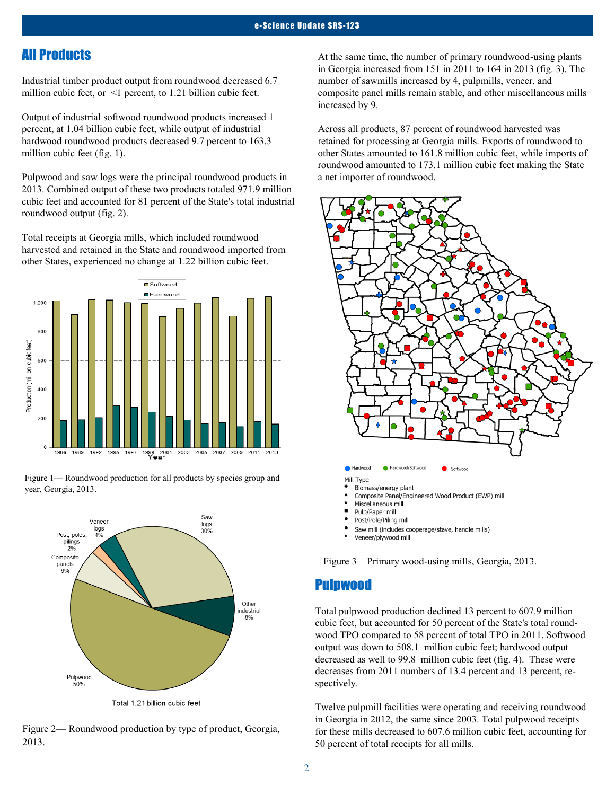## All Products

Industrial timber product output from roundwood decreased 6.7 million cubic feet, or <1 percent, to 1.21 billion cubic feet.

Output of industrial softwood roundwood products increased 1 percent, at 1.04 billion cubic feet, while output of industrial hardwood roundwood products decreased 9.7 percent to 163.3 million cubic feet (fig. 1).

Pulpwood and saw logs were the principal roundwood products in 2013. Combined output of these two products totaled 971.9 million cubic feet and accounted for 81 percent of the State's total industrial roundwood output (fig. 2).

Total receipts at Georgia mills, which included roundwood harvested and retained in the State and roundwood imported from other States, experienced no change at 1.22 billion cubic feet.







Total 1.21 billion cubic feet

Figure 2— Roundwood production by type of product, Georgia, 2013.

At the same time, the number of primary roundwood-using plants in Georgia increased from 151 in 2011 to 164 in 2013 (fig. 3). The number of sawmills increased by 4, pulpmills, veneer, and composite panel mills remain stable, and other miscellaneous mills increased by 9.

Across all products, 87 percent of roundwood harvested was retained for processing at Georgia mills. Exports of roundwood to other States amounted to 161.8 million cubic feet, while imports of roundwood amounted to 173.1 million cubic feet making the State a net importer of roundwood.



Saw mill (includes cooperage/stave, handle mills)

Veneer/plywood mill

Figure 3—Primary wood-using mills, Georgia, 2013.

## Pulpwood

Total pulpwood production declined 13 percent to 607.9 million cubic feet, but accounted for 50 percent of the State's total roundwood TPO compared to 58 percent of total TPO in 2011. Softwood output was down to 508.1 million cubic feet; hardwood output decreased as well to 99.8 million cubic feet (fig. 4). These were decreases from 2011 numbers of 13.4 percent and 13 percent, respectively.

Twelve pulpmill facilities were operating and receiving roundwood in Georgia in 2012, the same since 2003. Total pulpwood receipts for these mills decreased to 607.6 million cubic feet, accounting for 50 percent of total receipts for all mills.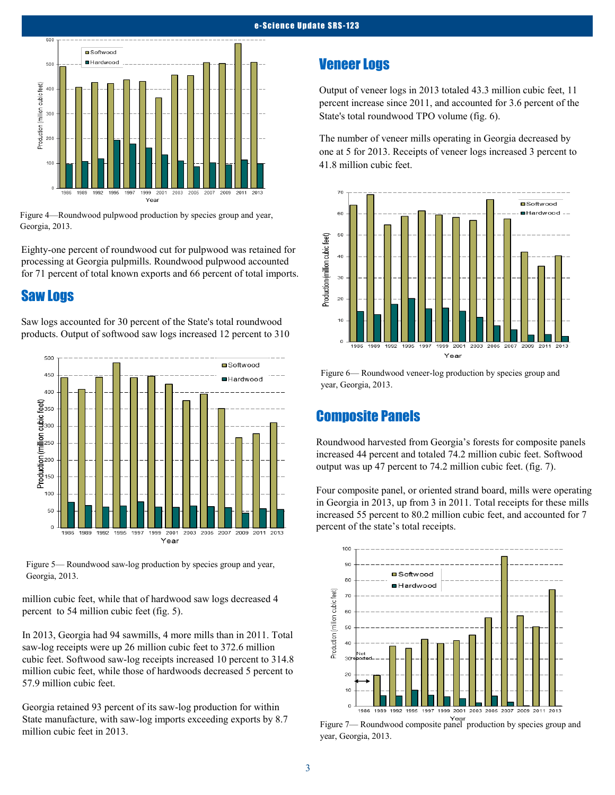

Figure 4—Roundwood pulpwood production by species group and year, Georgia, 2013.

Eighty-one percent of roundwood cut for pulpwood was retained for processing at Georgia pulpmills. Roundwood pulpwood accounted for 71 percent of total known exports and 66 percent of total imports.

## Saw Logs

Saw logs accounted for 30 percent of the State's total roundwood products. Output of softwood saw logs increased 12 percent to 310



Figure 5— Roundwood saw-log production by species group and year, Georgia, 2013.

million cubic feet, while that of hardwood saw logs decreased 4 percent to 54 million cubic feet (fig. 5).

In 2013, Georgia had 94 sawmills, 4 more mills than in 2011. Total saw-log receipts were up 26 million cubic feet to 372.6 million cubic feet. Softwood saw-log receipts increased 10 percent to 314.8 million cubic feet, while those of hardwoods decreased 5 percent to 57.9 million cubic feet.

Georgia retained 93 percent of its saw-log production for within State manufacture, with saw-log imports exceeding exports by 8.7 million cubic feet in 2013.

## Veneer Logs

Output of veneer logs in 2013 totaled 43.3 million cubic feet, 11 percent increase since 2011, and accounted for 3.6 percent of the State's total roundwood TPO volume (fig. 6).

The number of veneer mills operating in Georgia decreased by one at 5 for 2013. Receipts of veneer logs increased 3 percent to 41.8 million cubic feet.



Figure 6— Roundwood veneer-log production by species group and year, Georgia, 2013.

## Composite Panels

Roundwood harvested from Georgia's forests for composite panels increased 44 percent and totaled 74.2 million cubic feet. Softwood output was up 47 percent to 74.2 million cubic feet. (fig. 7).

Four composite panel, or oriented strand board, mills were operating in Georgia in 2013, up from 3 in 2011. Total receipts for these mills increased 55 percent to 80.2 million cubic feet, and accounted for 7 percent of the state's total receipts.



Figure 7— Roundwood composite panel production by species group and year, Georgia, 2013.